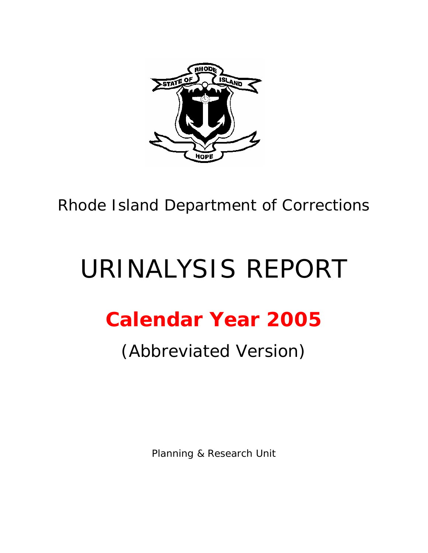

Rhode Island Department of Corrections

# URINALYSIS REPORT

## **Calendar Year 2005**

## (Abbreviated Version)

Planning & Research Unit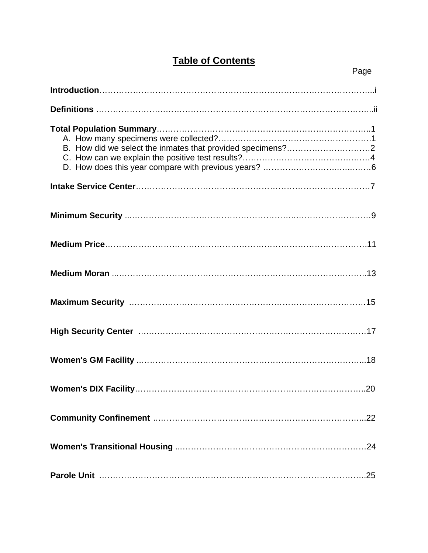### **Table of Contents**

| B. How did we select the inmates that provided specimens?2 |
|------------------------------------------------------------|
|                                                            |
|                                                            |
|                                                            |
|                                                            |
|                                                            |
|                                                            |
|                                                            |
|                                                            |
|                                                            |
|                                                            |
|                                                            |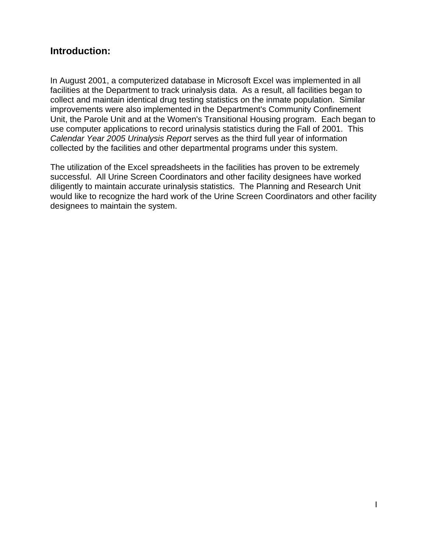#### **Introduction:**

In August 2001, a computerized database in Microsoft Excel was implemented in all facilities at the Department to track urinalysis data. As a result, all facilities began to collect and maintain identical drug testing statistics on the inmate population. Similar improvements were also implemented in the Department's Community Confinement Unit, the Parole Unit and at the Women's Transitional Housing program. Each began to use computer applications to record urinalysis statistics during the Fall of 2001. This *Calendar Year 2005 Urinalysis Report* serves as the third full year of information collected by the facilities and other departmental programs under this system.

The utilization of the Excel spreadsheets in the facilities has proven to be extremely successful. All Urine Screen Coordinators and other facility designees have worked diligently to maintain accurate urinalysis statistics. The Planning and Research Unit would like to recognize the hard work of the Urine Screen Coordinators and other facility designees to maintain the system.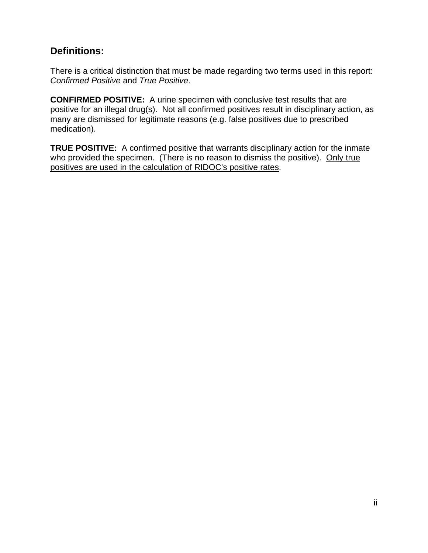#### **Definitions:**

There is a critical distinction that must be made regarding two terms used in this report: *Confirmed Positive* and *True Positive*.

**CONFIRMED POSITIVE:** A urine specimen with conclusive test results that are positive for an illegal drug(s). Not all confirmed positives result in disciplinary action, as many are dismissed for legitimate reasons (e.g. false positives due to prescribed medication).

**TRUE POSITIVE:** A confirmed positive that warrants disciplinary action for the inmate who provided the specimen. (There is no reason to dismiss the positive). Only true positives are used in the calculation of RIDOC's positive rates.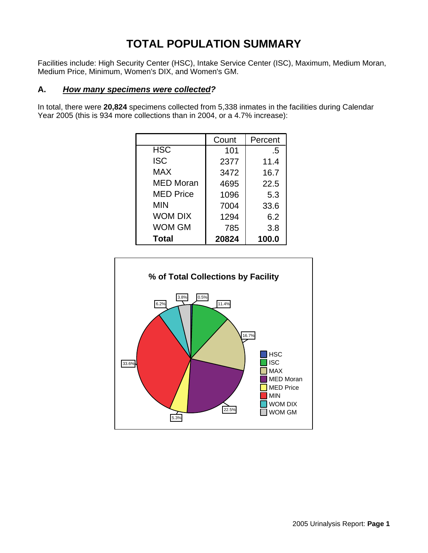## **TOTAL POPULATION SUMMARY**

Facilities include: High Security Center (HSC), Intake Service Center (ISC), Maximum, Medium Moran, Medium Price, Minimum, Women's DIX, and Women's GM.

#### **A.** *How many specimens were collected?*

In total, there were **20,824** specimens collected from 5,338 inmates in the facilities during Calendar Year 2005 (this is 934 more collections than in 2004, or a 4.7% increase):

|                  | Count | Percent |
|------------------|-------|---------|
| <b>HSC</b>       | 101   | .5      |
| <b>ISC</b>       | 2377  | 11.4    |
| <b>MAX</b>       | 3472  | 16.7    |
| <b>MED Moran</b> | 4695  | 22.5    |
| <b>MED Price</b> | 1096  | 5.3     |
| <b>MIN</b>       | 7004  | 33.6    |
| <b>WOM DIX</b>   | 1294  | 6.2     |
| <b>WOM GM</b>    | 785   | 3.8     |
| <b>Total</b>     | 20824 | 100.0   |

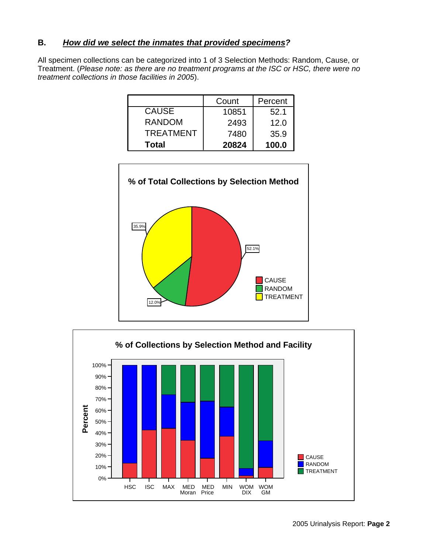#### **B.** *How did we select the inmates that provided specimens?*

All specimen collections can be categorized into 1 of 3 Selection Methods: Random, Cause, or Treatment. (*Please note: as there are no treatment programs at the ISC or HSC, there were no treatment collections in those facilities in 2005*).

|                  | Count | Percent |
|------------------|-------|---------|
| <b>CAUSE</b>     | 10851 | 52.1    |
| <b>RANDOM</b>    | 2493  | 12.0    |
| <b>TREATMENT</b> | 7480  | 35.9    |
| Total            | 20824 | 100.0   |



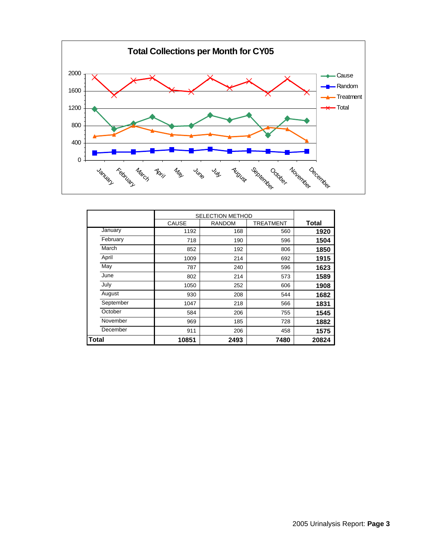

|           |              | <b>SELECTION METHOD</b> |           |              |  |
|-----------|--------------|-------------------------|-----------|--------------|--|
|           | <b>CAUSE</b> | <b>RANDOM</b>           | TREATMENT | <b>Total</b> |  |
| January   | 1192         | 168                     | 560       | 1920         |  |
| February  | 718          | 190                     | 596       | 1504         |  |
| March     | 852          | 192                     | 806       | 1850         |  |
| April     | 1009         | 214                     | 692       | 1915         |  |
| May       | 787          | 240                     | 596       | 1623         |  |
| June      | 802          | 214                     | 573       | 1589         |  |
| July      | 1050         | 252                     | 606       | 1908         |  |
| August    | 930          | 208                     | 544       | 1682         |  |
| September | 1047         | 218                     | 566       | 1831         |  |
| October   | 584          | 206                     | 755       | 1545         |  |
| November  | 969          | 185                     | 728       | 1882         |  |
| December  | 911          | 206                     | 458       | 1575         |  |
| Total     | 10851        | 2493                    | 7480      | 20824        |  |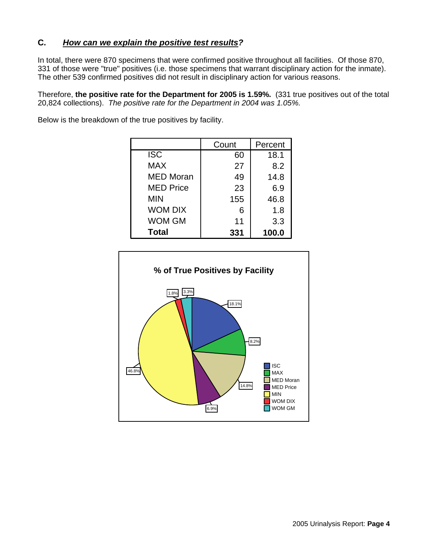#### **C.** *How can we explain the positive test results?*

In total, there were 870 specimens that were confirmed positive throughout all facilities. Of those 870, 331 of those were "true" positives (i.e. those specimens that warrant disciplinary action for the inmate). The other 539 confirmed positives did not result in disciplinary action for various reasons.

Therefore, **the positive rate for the Department for 2005 is 1.59%.** (331 true positives out of the total 20,824 collections). *The positive rate for the Department in 2004 was 1.05%.*

> 60 18.1 27 8.2 49 14.8 23 6.9 155 46.8 6 1.8 11 3.3 **331 100.0** ISC MAX MED Moran MED Price MIN WOM DIX WOM GM **Total** Count | Percent

Below is the breakdown of the true positives by facility.

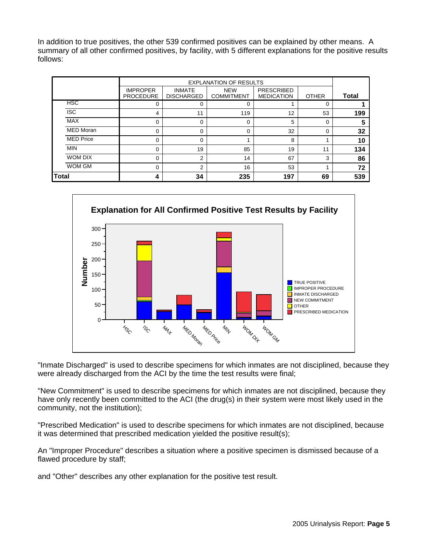In addition to true positives, the other 539 confirmed positives can be explained by other means. A summary of all other confirmed positives, by facility, with 5 different explanations for the positive results follows:

|                  |                                     | <b>EXPLANATION OF RESULTS</b>      |                                 |                                        |              |              |
|------------------|-------------------------------------|------------------------------------|---------------------------------|----------------------------------------|--------------|--------------|
|                  | <b>IMPROPER</b><br><b>PROCEDURE</b> | <b>INMATE</b><br><b>DISCHARGED</b> | <b>NEW</b><br><b>COMMITMENT</b> | <b>PRESCRIBED</b><br><b>MEDICATION</b> | <b>OTHER</b> | <b>Total</b> |
| HSC              |                                     | 0                                  | 0                               |                                        | 0            |              |
| <b>ISC</b>       | 4                                   | 11                                 | 119                             | 12                                     | 53           | 199          |
| <b>MAX</b>       | <sup>0</sup>                        | $\Omega$                           | 0                               | 5                                      | $\Omega$     | 5            |
| <b>MED Moran</b> |                                     | $\Omega$                           | $\mathbf 0$                     | 32                                     | $\Omega$     | 32           |
| <b>MED Price</b> | 0                                   | $\Omega$                           |                                 | 8                                      |              | 10           |
| <b>MIN</b>       | 0                                   | 19                                 | 85                              | 19                                     | 11           | 134          |
| WOM DIX          | $\Omega$                            | $\overline{2}$                     | 14                              | 67                                     | 3            | 86           |
| WOM GM           | 0                                   | $\mathcal{P}$                      | 16                              | 53                                     |              | 72           |
| <b>Total</b>     |                                     | 34                                 | 235                             | 197                                    | 69           | 539          |



"Inmate Discharged" is used to describe specimens for which inmates are not disciplined, because they were already discharged from the ACI by the time the test results were final;

"New Commitment" is used to describe specimens for which inmates are not disciplined, because they have only recently been committed to the ACI (the drug(s) in their system were most likely used in the community, not the institution);

"Prescribed Medication" is used to describe specimens for which inmates are not disciplined, because it was determined that prescribed medication yielded the positive result(s);

An "Improper Procedure" describes a situation where a positive specimen is dismissed because of a flawed procedure by staff;

and "Other" describes any other explanation for the positive test result.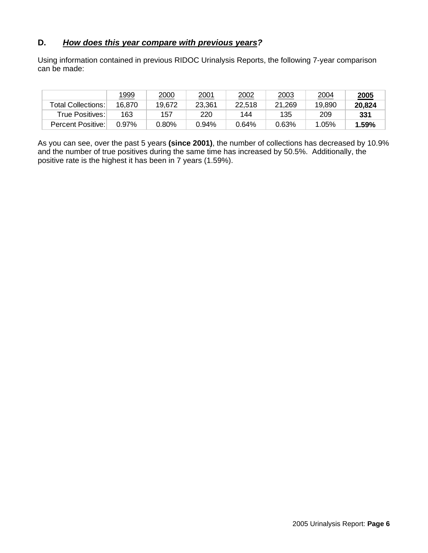#### **D.** *How does this year compare with previous years?*

Using information contained in previous RIDOC Urinalysis Reports, the following 7-year comparison can be made:

|                    | 1999   | 2000   | 2001   | 2002   | 2003   | 2004   | 2005   |
|--------------------|--------|--------|--------|--------|--------|--------|--------|
| Total Collections: | 16.870 | 19.672 | 23,361 | 22.518 | 21,269 | 19.890 | 20.824 |
| True Positives:    | 163    | 157    | 220    | 144    | 135    | 209    | 331    |
| Percent Positive:  | 0.97%  |        | 0.94%  | 0.64%  | 0.63%  | 1.05%  | 1.59%  |

As you can see, over the past 5 years **(since 2001)**, the number of collections has decreased by 10.9% and the number of true positives during the same time has increased by 50.5%. Additionally, the positive rate is the highest it has been in 7 years (1.59%).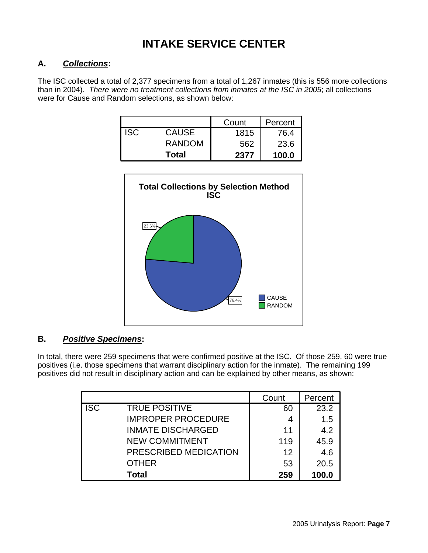## **INTAKE SERVICE CENTER**

#### **A.** *Collections***:**

The ISC collected a total of 2,377 specimens from a total of 1,267 inmates (this is 556 more collections than in 2004). *There were no treatment collections from inmates at the ISC in 2005*; all collections were for Cause and Random selections, as shown below:

|            |               | Count | Percent |
|------------|---------------|-------|---------|
| <b>ISC</b> | <b>CAUSE</b>  | 1815  | 76.4    |
|            | <b>RANDOM</b> | 562   | 23.6    |
|            | Total         | 2377  | 100.0   |



#### **B.** *Positive Specimens***:**

In total, there were 259 specimens that were confirmed positive at the ISC. Of those 259, 60 were true positives (i.e. those specimens that warrant disciplinary action for the inmate). The remaining 199 positives did not result in disciplinary action and can be explained by other means, as shown:

|            |                           | Count | Percent |
|------------|---------------------------|-------|---------|
| <b>ISC</b> | <b>TRUE POSITIVE</b>      | 60    | 23.2    |
|            | <b>IMPROPER PROCEDURE</b> | 4     | 1.5     |
|            | <b>INMATE DISCHARGED</b>  | 11    | 4.2     |
|            | <b>NEW COMMITMENT</b>     | 119   | 45.9    |
|            | PRESCRIBED MEDICATION     | 12    | 4.6     |
|            | <b>OTHER</b>              | 53    | 20.5    |
|            | Total                     | 259   | 100.0   |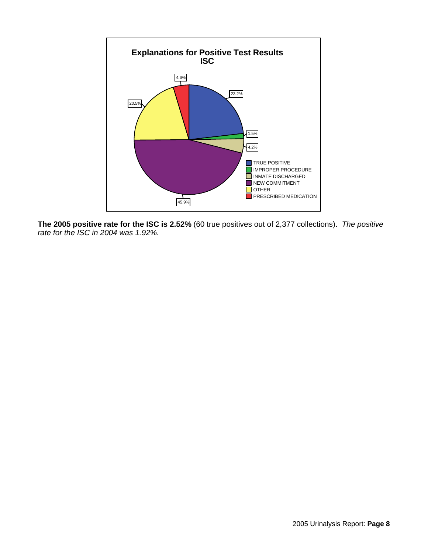

**The 2005 positive rate for the ISC is 2.52%** (60 true positives out of 2,377 collections). *The positive rate for the ISC in 2004 was 1.92%.*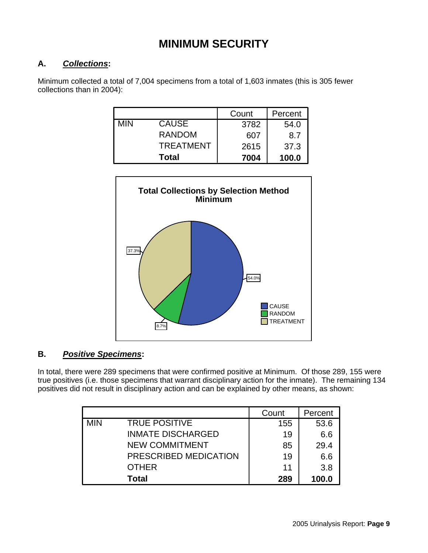## **MINIMUM SECURITY**

#### **A.** *Collections***:**

Minimum collected a total of 7,004 specimens from a total of 1,603 inmates (this is 305 fewer collections than in 2004):

|            |                  | Count | Percent |
|------------|------------------|-------|---------|
| <b>MIN</b> | <b>CAUSE</b>     | 3782  | 54.0    |
|            | <b>RANDOM</b>    | 607   | 8.7     |
|            | <b>TREATMENT</b> | 2615  | 37.3    |
|            | <b>Total</b>     | 7004  | 100.0   |



#### **B.** *Positive Specimens***:**

In total, there were 289 specimens that were confirmed positive at Minimum. Of those 289, 155 were true positives (i.e. those specimens that warrant disciplinary action for the inmate). The remaining 134 positives did not result in disciplinary action and can be explained by other means, as shown:

|            |                          | Count | Percent |
|------------|--------------------------|-------|---------|
| <b>MIN</b> | <b>TRUE POSITIVE</b>     | 155   | 53.6    |
|            | <b>INMATE DISCHARGED</b> | 19    | 6.6     |
|            | <b>NEW COMMITMENT</b>    | 85    | 29.4    |
|            | PRESCRIBED MEDICATION    | 19    | 6.6     |
|            | <b>OTHER</b>             | 11    | 3.8     |
|            | Total                    | 289   | 100.0   |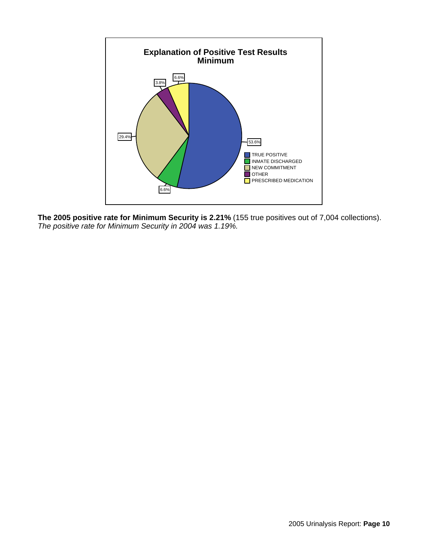

**The 2005 positive rate for Minimum Security is 2.21%** (155 true positives out of 7,004 collections). *The positive rate for Minimum Security in 2004 was 1.19%.*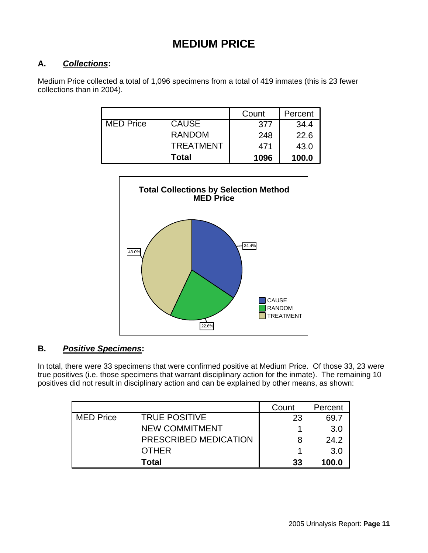## **MEDIUM PRICE**

#### **A.** *Collections***:**

Medium Price collected a total of 1,096 specimens from a total of 419 inmates (this is 23 fewer collections than in 2004).

|                  |                  | Count | Percent |
|------------------|------------------|-------|---------|
| <b>MED Price</b> | <b>CAUSE</b>     | 377   | 34.4    |
|                  | <b>RANDOM</b>    | 248   | 22.6    |
|                  | <b>TREATMENT</b> | 471   | 43.0    |
|                  | <b>Total</b>     | 1096  | 100.0   |



#### **B.** *Positive Specimens***:**

In total, there were 33 specimens that were confirmed positive at Medium Price. Of those 33, 23 were true positives (i.e. those specimens that warrant disciplinary action for the inmate). The remaining 10 positives did not result in disciplinary action and can be explained by other means, as shown:

|                  |                       | Count | Percent |
|------------------|-----------------------|-------|---------|
| <b>MED Price</b> | <b>TRUE POSITIVE</b>  | 23    | 69.7    |
|                  | <b>NEW COMMITMENT</b> |       | 3.0     |
|                  | PRESCRIBED MEDICATION | 8     | 24.2    |
|                  | <b>OTHER</b>          |       | 3.0     |
|                  | Total                 | 33    | 100.0   |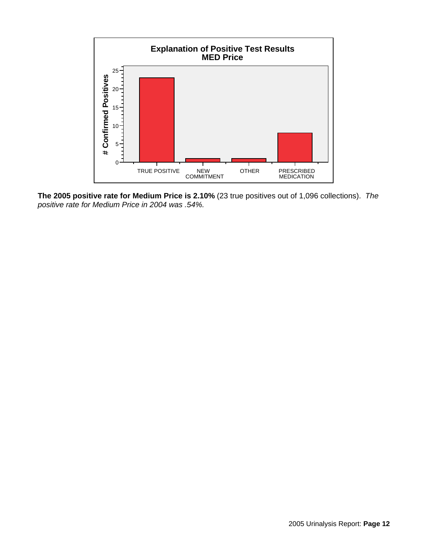

**The 2005 positive rate for Medium Price is 2.10%** (23 true positives out of 1,096 collections). *The positive rate for Medium Price in 2004 was .54%.*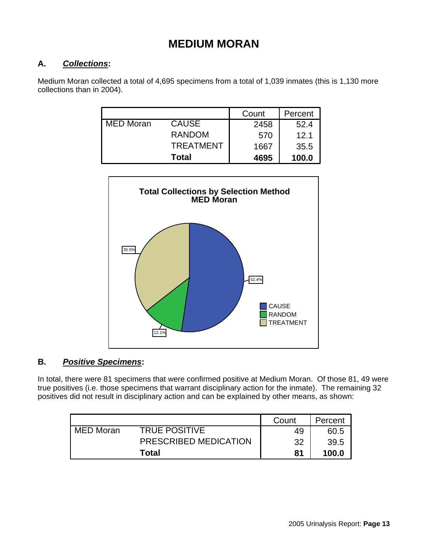### **MEDIUM MORAN**

#### **A.** *Collections***:**

Medium Moran collected a total of 4,695 specimens from a total of 1,039 inmates (this is 1,130 more collections than in 2004).

|                  |                  | Count | Percent |
|------------------|------------------|-------|---------|
| <b>MED Moran</b> | <b>CAUSE</b>     | 2458  | 52.4    |
|                  | <b>RANDOM</b>    | 570   | 12.1    |
|                  | <b>TREATMENT</b> | 1667  | 35.5    |
|                  | <b>Total</b>     | 4695  | 100.0   |



#### **B.** *Positive Specimens***:**

In total, there were 81 specimens that were confirmed positive at Medium Moran. Of those 81, 49 were true positives (i.e. those specimens that warrant disciplinary action for the inmate). The remaining 32 positives did not result in disciplinary action and can be explained by other means, as shown:

|             |                       | Count | Percent |
|-------------|-----------------------|-------|---------|
| l MED Moran | <b>TRUE POSITIVE</b>  | 49    | 60.5    |
|             | PRESCRIBED MEDICATION | 32    | 39.5    |
|             | Total                 | 81    | 100.0   |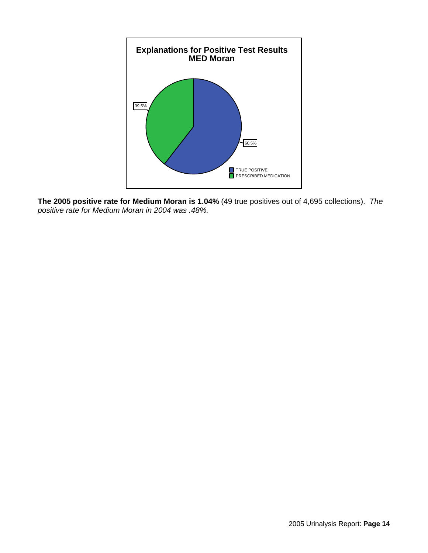

**The 2005 positive rate for Medium Moran is 1.04%** (49 true positives out of 4,695 collections). *The positive rate for Medium Moran in 2004 was .48%.*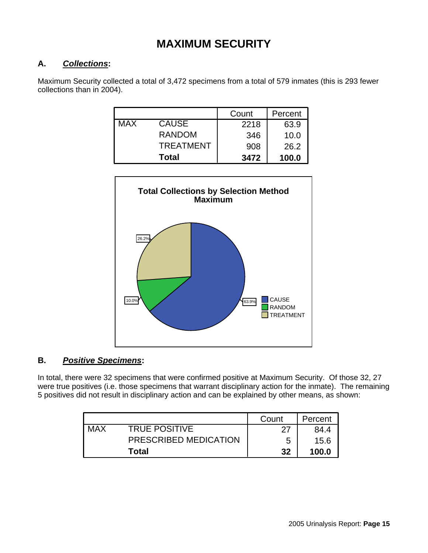## **MAXIMUM SECURITY**

#### **A.** *Collections***:**

Maximum Security collected a total of 3,472 specimens from a total of 579 inmates (this is 293 fewer collections than in 2004).

|            |                  | Count | Percent |
|------------|------------------|-------|---------|
| <b>MAX</b> | <b>CAUSE</b>     | 2218  | 63.9    |
|            | <b>RANDOM</b>    | 346   | 10.0    |
|            | <b>TREATMENT</b> | 908   | 26.2    |
|            | <b>Total</b>     | 3472  | 100.0   |



#### **B.** *Positive Specimens***:**

In total, there were 32 specimens that were confirmed positive at Maximum Security. Of those 32, 27 were true positives (i.e. those specimens that warrant disciplinary action for the inmate). The remaining 5 positives did not result in disciplinary action and can be explained by other means, as shown:

|            |                       | Count | Percent |
|------------|-----------------------|-------|---------|
| <b>MAX</b> | <b>TRUE POSITIVE</b>  | דר    | 84.4    |
|            | PRESCRIBED MEDICATION | 5     | 15.6    |
|            | Total                 | 32    | 100.0   |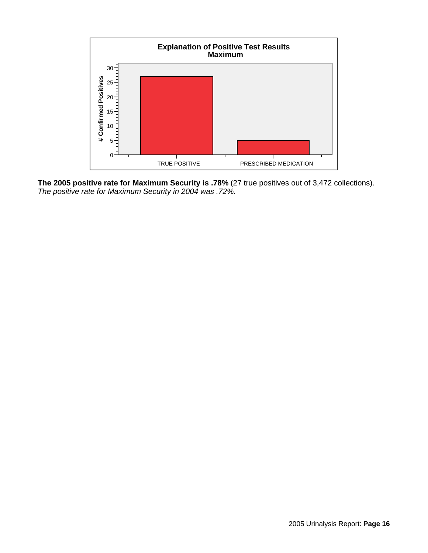

**The 2005 positive rate for Maximum Security is .78%** (27 true positives out of 3,472 collections). *The positive rate for Maximum Security in 2004 was .72%.*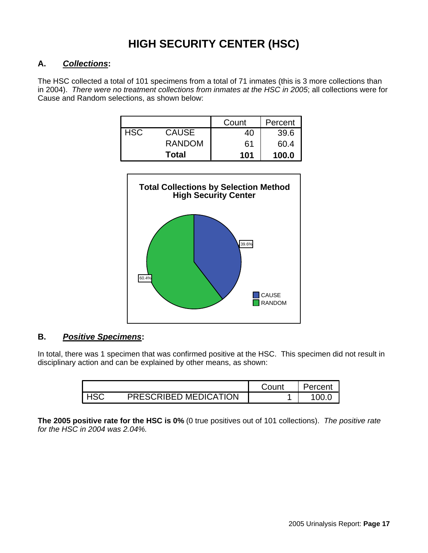## **HIGH SECURITY CENTER (HSC)**

#### **A.** *Collections***:**

The HSC collected a total of 101 specimens from a total of 71 inmates (this is 3 more collections than in 2004). *There were no treatment collections from inmates at the HSC in 2005*; all collections were for Cause and Random selections, as shown below:

|     |               | Count | Percent |
|-----|---------------|-------|---------|
| HSC | <b>CAUSE</b>  | 40    | 39.6    |
|     | <b>RANDOM</b> | 61    | 60.4    |
|     | Total         | 101   | 100.0   |



#### **B.** *Positive Specimens***:**

In total, there was 1 specimen that was confirmed positive at the HSC. This specimen did not result in disciplinary action and can be explained by other means, as shown:

|                       | Count | Percent |
|-----------------------|-------|---------|
| PRESCRIBED MEDICATION |       | n)      |

**The 2005 positive rate for the HSC is 0%** (0 true positives out of 101 collections). *The positive rate for the HSC in 2004 was 2.04%.*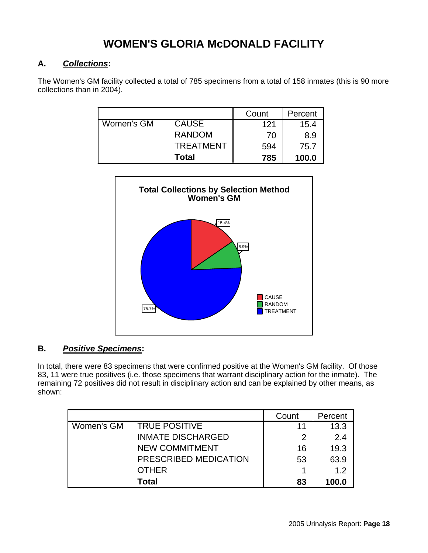## **WOMEN'S GLORIA McDONALD FACILITY**

#### **A.** *Collections***:**

The Women's GM facility collected a total of 785 specimens from a total of 158 inmates (this is 90 more collections than in 2004).

|            |                  | Count | Percent |
|------------|------------------|-------|---------|
| Women's GM | <b>CAUSE</b>     | 121   | 15.4    |
|            | <b>RANDOM</b>    | 70    | 8.9     |
|            | <b>TREATMENT</b> | 594   | 75.7    |
|            | Total            | 785   | 100.0   |



#### **B.** *Positive Specimens***:**

In total, there were 83 specimens that were confirmed positive at the Women's GM facility. Of those 83, 11 were true positives (i.e. those specimens that warrant disciplinary action for the inmate). The remaining 72 positives did not result in disciplinary action and can be explained by other means, as shown:

|            |                          | Count | Percent |
|------------|--------------------------|-------|---------|
| Women's GM | <b>TRUE POSITIVE</b>     | 11    | 13.3    |
|            | <b>INMATE DISCHARGED</b> | 2     | 2.4     |
|            | <b>NEW COMMITMENT</b>    | 16    | 19.3    |
|            | PRESCRIBED MEDICATION    | 53    | 63.9    |
|            | <b>OTHER</b>             |       | 12      |
|            | Total                    | 83    | 100.0   |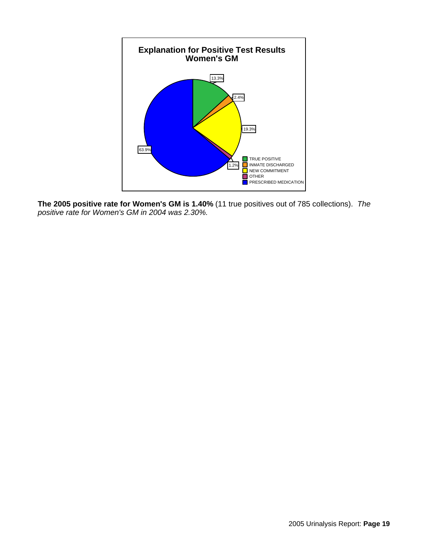

**The 2005 positive rate for Women's GM is 1.40%** (11 true positives out of 785 collections). *The positive rate for Women's GM in 2004 was 2.30%.*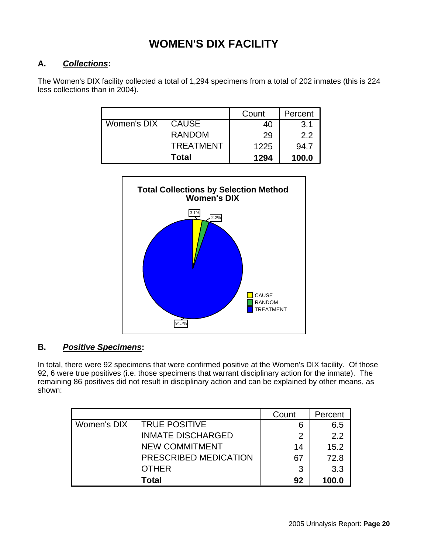## **WOMEN'S DIX FACILITY**

#### **A.** *Collections***:**

The Women's DIX facility collected a total of 1,294 specimens from a total of 202 inmates (this is 224 less collections than in 2004).

|             |                  | Count | Percent |
|-------------|------------------|-------|---------|
| Women's DIX | <b>CAUSE</b>     | 40    | 3.1     |
|             | <b>RANDOM</b>    | 29    | 2.2     |
|             | <b>TREATMENT</b> | 1225  | 94.7    |
|             | <b>Total</b>     | 1294  | 100.0   |



#### **B.** *Positive Specimens***:**

In total, there were 92 specimens that were confirmed positive at the Women's DIX facility. Of those 92, 6 were true positives (i.e. those specimens that warrant disciplinary action for the inmate). The remaining 86 positives did not result in disciplinary action and can be explained by other means, as shown:

|             |                          | Count | Percent |
|-------------|--------------------------|-------|---------|
| Women's DIX | <b>TRUE POSITIVE</b>     | 6     | 6.5     |
|             | <b>INMATE DISCHARGED</b> | 2     | 2.2     |
|             | <b>NEW COMMITMENT</b>    | 14    | 15.2    |
|             | PRESCRIBED MEDICATION    | 67    | 72.8    |
|             | <b>OTHER</b>             | 3     | 3.3     |
|             | Total                    | 92    | 100.0   |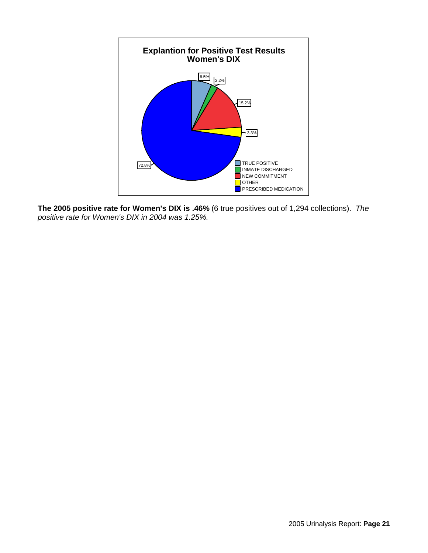

**The 2005 positive rate for Women's DIX is .46%** (6 true positives out of 1,294 collections). *The positive rate for Women's DIX in 2004 was 1.25%.*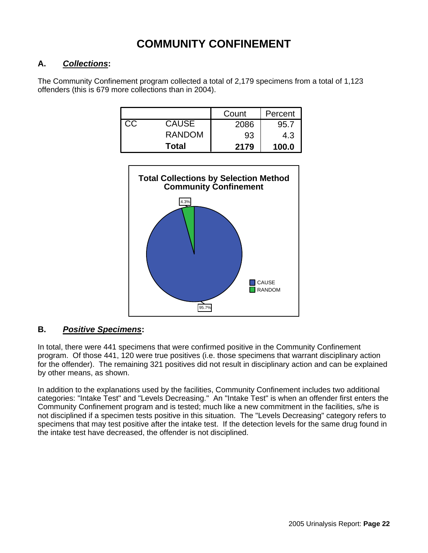## **COMMUNITY CONFINEMENT**

#### **A.** *Collections***:**

The Community Confinement program collected a total of 2,179 specimens from a total of 1,123 offenders (this is 679 more collections than in 2004).

|    |               | Count | Percent |
|----|---------------|-------|---------|
| СC | <b>CAUSE</b>  | 2086  | 95.7    |
|    | <b>RANDOM</b> | 93    | 4.3     |
|    | Total         | 2179  | 100.0   |



#### **B.** *Positive Specimens***:**

In total, there were 441 specimens that were confirmed positive in the Community Confinement program. Of those 441, 120 were true positives (i.e. those specimens that warrant disciplinary action for the offender). The remaining 321 positives did not result in disciplinary action and can be explained by other means, as shown.

In addition to the explanations used by the facilities, Community Confinement includes two additional categories: "Intake Test" and "Levels Decreasing." An "Intake Test" is when an offender first enters the Community Confinement program and is tested; much like a new commitment in the facilities, s/he is not disciplined if a specimen tests positive in this situation. The "Levels Decreasing" category refers to specimens that may test positive after the intake test. If the detection levels for the same drug found in the intake test have decreased, the offender is not disciplined.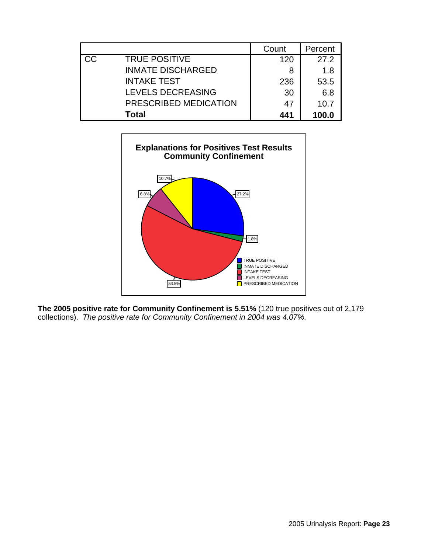|           |                          | Count | Percent |
|-----------|--------------------------|-------|---------|
| <b>CC</b> | <b>TRUE POSITIVE</b>     | 120   | 27.2    |
|           | <b>INMATE DISCHARGED</b> | 8     | 1.8     |
|           | <b>INTAKE TEST</b>       | 236   | 53.5    |
|           | LEVELS DECREASING        | 30    | 6.8     |
|           | PRESCRIBED MEDICATION    | 47    | 10.7    |
|           | Total                    | 441   | 100.0   |



**The 2005 positive rate for Community Confinement is 5.51%** (120 true positives out of 2,179 collections). *The positive rate for Community Confinement in 2004 was 4.07%.*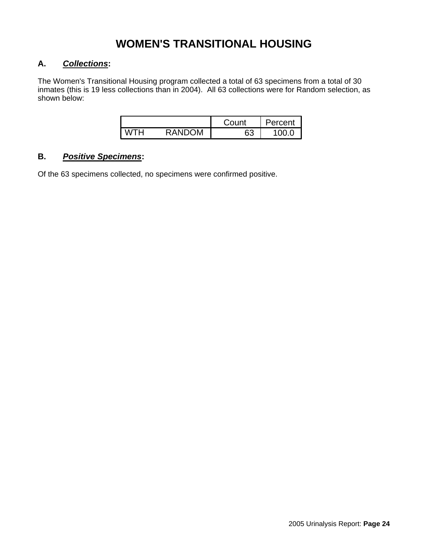## **WOMEN'S TRANSITIONAL HOUSING**

#### **A.** *Collections***:**

The Women's Transitional Housing program collected a total of 63 specimens from a total of 30 inmates (this is 19 less collections than in 2004). All 63 collections were for Random selection, as shown below:

|   |                      | Count    | ercent |
|---|----------------------|----------|--------|
| V | ОM<br>м<br>٩ND<br>ĸд | ຂລ<br>ပပ | v.u    |

#### **B.** *Positive Specimens***:**

Of the 63 specimens collected, no specimens were confirmed positive.